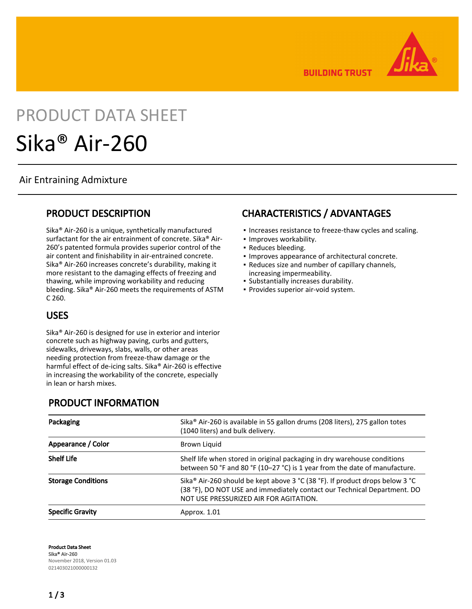**BUILDING TRUST** 



# PRODUCT DATA SHEET Sika® Air-260

#### Air Entraining Admixture

#### PRODUCT DESCRIPTION

Sika® Air-260 is a unique, synthetically manufactured surfactant for the air entrainment of concrete. Sika® Air-260's patented formula provides superior control of the air content and finishability in air-entrained concrete. Sika® Air-260 increases concrete's durability, making it more resistant to the damaging effects of freezing and thawing, while improving workability and reducing bleeding. Sika® Air-260 meets the requirements of ASTM C 260.

#### USES

Sika® Air-260 is designed for use in exterior and interior concrete such as highway paving, curbs and gutters, sidewalks, driveways, slabs, walls, or other areas needing protection from freeze-thaw damage or the harmful effect of de-icing salts. Sika® Air-260 is effective in increasing the workability of the concrete, especially in lean or harsh mixes.

#### PRODUCT INFORMATION

| Packaging                 | Sika® Air-260 is available in 55 gallon drums (208 liters), 275 gallon totes<br>(1040 liters) and bulk delivery.                                                                                   |
|---------------------------|----------------------------------------------------------------------------------------------------------------------------------------------------------------------------------------------------|
| Appearance / Color        | Brown Liquid                                                                                                                                                                                       |
| <b>Shelf Life</b>         | Shelf life when stored in original packaging in dry warehouse conditions<br>between 50 °F and 80 °F (10-27 °C) is 1 year from the date of manufacture.                                             |
| <b>Storage Conditions</b> | Sika® Air-260 should be kept above 3 °C (38 °F). If product drops below 3 °C<br>(38 °F), DO NOT USE and immediately contact our Technical Department. DO<br>NOT USE PRESSURIZED AIR FOR AGITATION. |
| <b>Specific Gravity</b>   | Approx. 1.01                                                                                                                                                                                       |

Product Data Sheet Sika® Air-260 November 2018, Version 01.03 021403021000000132

## CHARACTERISTICS / ADVANTAGES

- Increases resistance to freeze-thaw cycles and scaling.
- Improves workability.
- Reduces bleeding.
- **.** Improves appearance of architectural concrete.
- Reduces size and number of capillary channels, increasing impermeability.
- Substantially increases durability.
- Provides superior air-void system.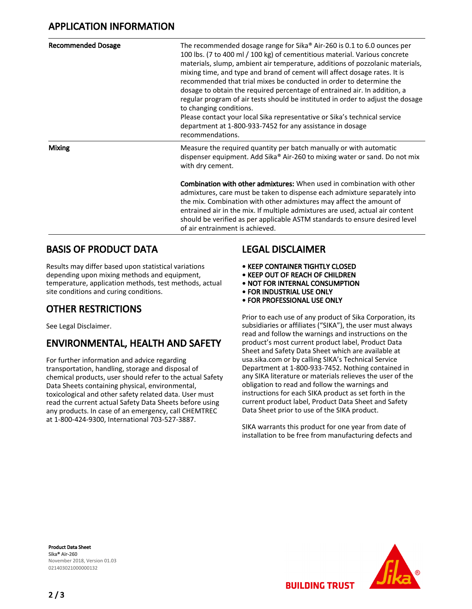| <b>Recommended Dosage</b> | The recommended dosage range for Sika® Air-260 is 0.1 to 6.0 ounces per<br>100 lbs. (7 to 400 ml / 100 kg) of cementitious material. Various concrete<br>materials, slump, ambient air temperature, additions of pozzolanic materials,<br>mixing time, and type and brand of cement will affect dosage rates. It is<br>recommended that trial mixes be conducted in order to determine the<br>dosage to obtain the required percentage of entrained air. In addition, a<br>regular program of air tests should be instituted in order to adjust the dosage<br>to changing conditions.<br>Please contact your local Sika representative or Sika's technical service<br>department at 1-800-933-7452 for any assistance in dosage<br>recommendations. |
|---------------------------|-----------------------------------------------------------------------------------------------------------------------------------------------------------------------------------------------------------------------------------------------------------------------------------------------------------------------------------------------------------------------------------------------------------------------------------------------------------------------------------------------------------------------------------------------------------------------------------------------------------------------------------------------------------------------------------------------------------------------------------------------------|
| <b>Mixing</b>             | Measure the required quantity per batch manually or with automatic<br>dispenser equipment. Add Sika® Air-260 to mixing water or sand. Do not mix<br>with dry cement.                                                                                                                                                                                                                                                                                                                                                                                                                                                                                                                                                                                |
|                           | <b>Combination with other admixtures:</b> When used in combination with other<br>admixtures, care must be taken to dispense each admixture separately into<br>the mix. Combination with other admixtures may affect the amount of<br>entrained air in the mix. If multiple admixtures are used, actual air content<br>should be verified as per applicable ASTM standards to ensure desired level<br>of air entrainment is achieved.                                                                                                                                                                                                                                                                                                                |

#### BASIS OF PRODUCT DATA

Results may differ based upon statistical variations depending upon mixing methods and equipment, temperature, application methods, test methods, actual site conditions and curing conditions.

### OTHER RESTRICTIONS

See Legal Disclaimer.

## ENVIRONMENTAL, HEALTH AND SAFETY

For further information and advice regarding transportation, handling, storage and disposal of chemical products, user should refer to the actual Safety Data Sheets containing physical, environmental, toxicological and other safety related data. User must read the current actual Safety Data Sheets before using any products. In case of an emergency, call CHEMTREC at 1-800-424-9300, International 703-527-3887.

#### **LEGAL DISCLAIMER**

- KEEP CONTAINER TIGHTLY CLOSED
- KEEP OUT OF REACH OF CHILDREN
- NOT FOR INTERNAL CONSUMPTION
- FOR INDUSTRIAL USE ONLY
- FOR PROFESSIONAL USE ONLY

Prior to each use of any product of Sika Corporation, its subsidiaries or affiliates ("SIKA"), the user must always read and follow the warnings and instructions on the product's most current product label, Product Data Sheet and Safety Data Sheet which are available at usa.sika.com or by calling SIKA's Technical Service Department at 1-800-933-7452. Nothing contained in any SIKA literature or materials relieves the user of the obligation to read and follow the warnings and instructions for each SIKA product as set forth in the current product label, Product Data Sheet and Safety Data Sheet prior to use of the SIKA product.

SIKA warrants this product for one year from date of installation to be free from manufacturing defects and

Product Data Sheet Sika® Air-260 November 2018, Version 01.03 021403021000000132



**BUILDING TRUST**